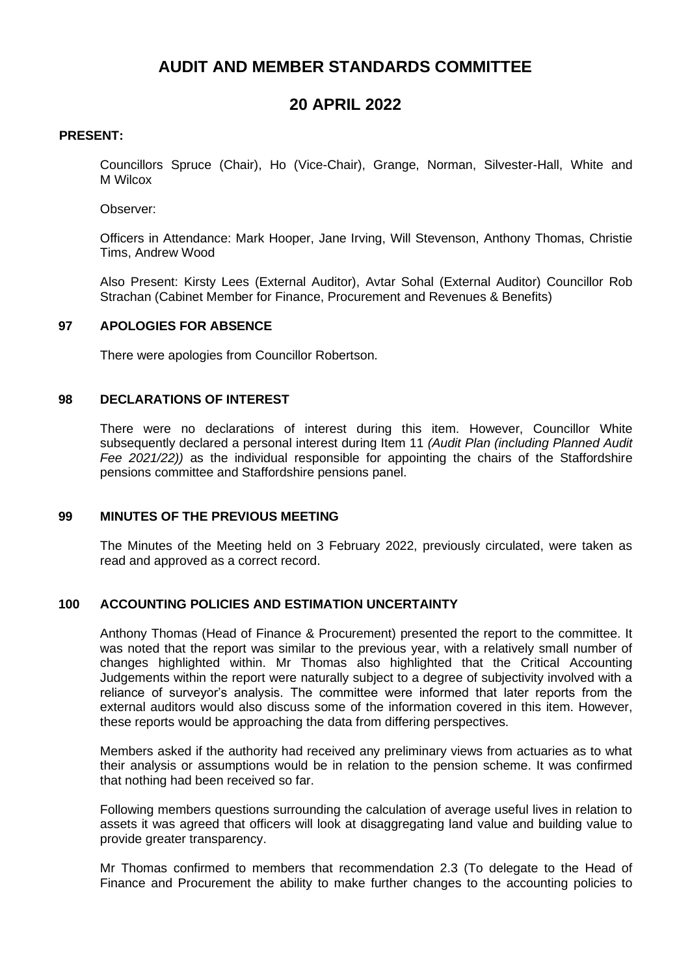# **AUDIT AND MEMBER STANDARDS COMMITTEE**

# **20 APRIL 2022**

## **PRESENT:**

Councillors Spruce (Chair), Ho (Vice-Chair), Grange, Norman, Silvester-Hall, White and M Wilcox

Observer:

Officers in Attendance: Mark Hooper, Jane Irving, Will Stevenson, Anthony Thomas, Christie Tims, Andrew Wood

Also Present: Kirsty Lees (External Auditor), Avtar Sohal (External Auditor) Councillor Rob Strachan (Cabinet Member for Finance, Procurement and Revenues & Benefits)

# **97 APOLOGIES FOR ABSENCE**

There were apologies from Councillor Robertson.

#### **98 DECLARATIONS OF INTEREST**

There were no declarations of interest during this item. However, Councillor White subsequently declared a personal interest during Item 11 *(Audit Plan (including Planned Audit Fee 2021/22))* as the individual responsible for appointing the chairs of the Staffordshire pensions committee and Staffordshire pensions panel.

#### **99 MINUTES OF THE PREVIOUS MEETING**

The Minutes of the Meeting held on 3 February 2022, previously circulated, were taken as read and approved as a correct record.

### **100 ACCOUNTING POLICIES AND ESTIMATION UNCERTAINTY**

Anthony Thomas (Head of Finance & Procurement) presented the report to the committee. It was noted that the report was similar to the previous year, with a relatively small number of changes highlighted within. Mr Thomas also highlighted that the Critical Accounting Judgements within the report were naturally subject to a degree of subjectivity involved with a reliance of surveyor's analysis. The committee were informed that later reports from the external auditors would also discuss some of the information covered in this item. However, these reports would be approaching the data from differing perspectives.

Members asked if the authority had received any preliminary views from actuaries as to what their analysis or assumptions would be in relation to the pension scheme. It was confirmed that nothing had been received so far.

Following members questions surrounding the calculation of average useful lives in relation to assets it was agreed that officers will look at disaggregating land value and building value to provide greater transparency.

Mr Thomas confirmed to members that recommendation 2.3 (To delegate to the Head of Finance and Procurement the ability to make further changes to the accounting policies to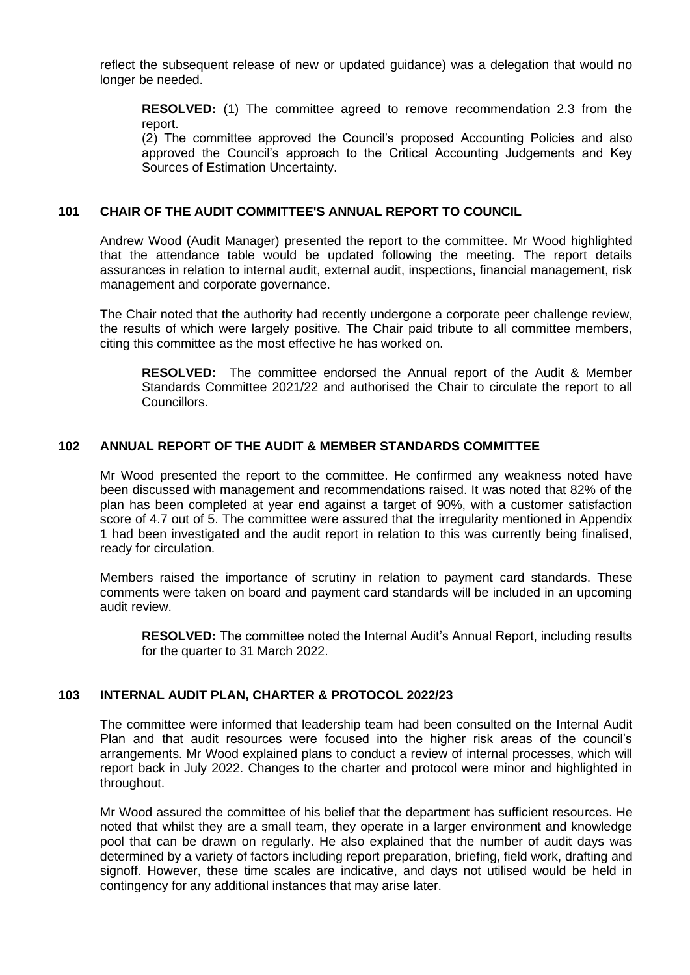reflect the subsequent release of new or updated guidance) was a delegation that would no longer be needed.

**RESOLVED:** (1) The committee agreed to remove recommendation 2.3 from the report.

(2) The committee approved the Council's proposed Accounting Policies and also approved the Council's approach to the Critical Accounting Judgements and Key Sources of Estimation Uncertainty.

#### **101 CHAIR OF THE AUDIT COMMITTEE'S ANNUAL REPORT TO COUNCIL**

Andrew Wood (Audit Manager) presented the report to the committee. Mr Wood highlighted that the attendance table would be updated following the meeting. The report details assurances in relation to internal audit, external audit, inspections, financial management, risk management and corporate governance.

The Chair noted that the authority had recently undergone a corporate peer challenge review, the results of which were largely positive. The Chair paid tribute to all committee members, citing this committee as the most effective he has worked on.

**RESOLVED:** The committee endorsed the Annual report of the Audit & Member Standards Committee 2021/22 and authorised the Chair to circulate the report to all Councillors.

### **102 ANNUAL REPORT OF THE AUDIT & MEMBER STANDARDS COMMITTEE**

Mr Wood presented the report to the committee. He confirmed any weakness noted have been discussed with management and recommendations raised. It was noted that 82% of the plan has been completed at year end against a target of 90%, with a customer satisfaction score of 4.7 out of 5. The committee were assured that the irregularity mentioned in Appendix 1 had been investigated and the audit report in relation to this was currently being finalised, ready for circulation.

Members raised the importance of scrutiny in relation to payment card standards. These comments were taken on board and payment card standards will be included in an upcoming audit review.

**RESOLVED:** The committee noted the Internal Audit's Annual Report, including results for the quarter to 31 March 2022.

#### **103 INTERNAL AUDIT PLAN, CHARTER & PROTOCOL 2022/23**

The committee were informed that leadership team had been consulted on the Internal Audit Plan and that audit resources were focused into the higher risk areas of the council's arrangements. Mr Wood explained plans to conduct a review of internal processes, which will report back in July 2022. Changes to the charter and protocol were minor and highlighted in throughout.

Mr Wood assured the committee of his belief that the department has sufficient resources. He noted that whilst they are a small team, they operate in a larger environment and knowledge pool that can be drawn on regularly. He also explained that the number of audit days was determined by a variety of factors including report preparation, briefing, field work, drafting and signoff. However, these time scales are indicative, and days not utilised would be held in contingency for any additional instances that may arise later.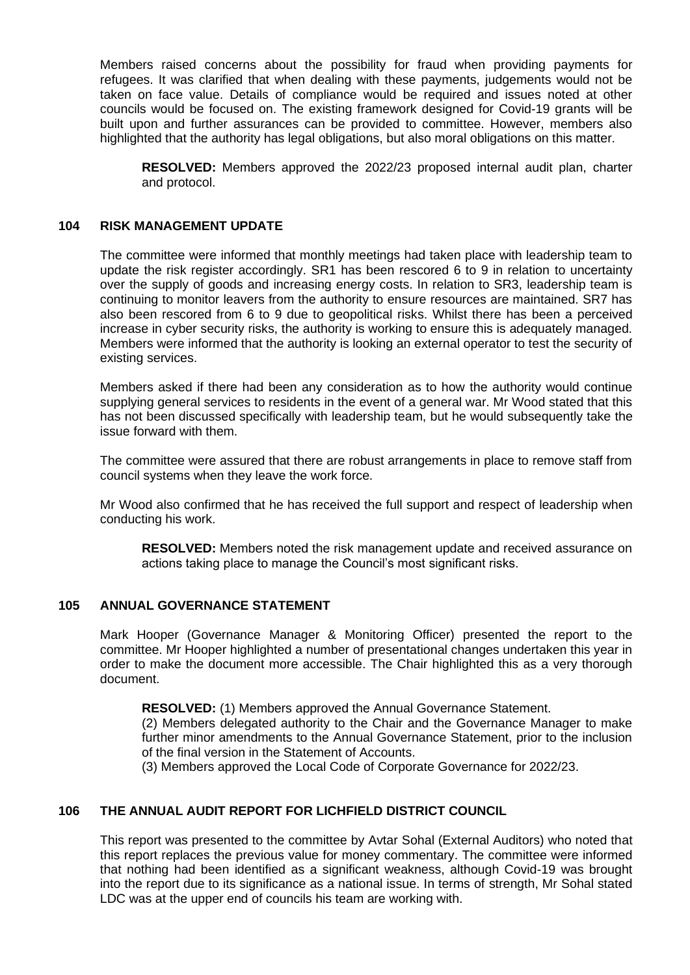Members raised concerns about the possibility for fraud when providing payments for refugees. It was clarified that when dealing with these payments, judgements would not be taken on face value. Details of compliance would be required and issues noted at other councils would be focused on. The existing framework designed for Covid-19 grants will be built upon and further assurances can be provided to committee. However, members also highlighted that the authority has legal obligations, but also moral obligations on this matter.

**RESOLVED:** Members approved the 2022/23 proposed internal audit plan, charter and protocol.

# **104 RISK MANAGEMENT UPDATE**

The committee were informed that monthly meetings had taken place with leadership team to update the risk register accordingly. SR1 has been rescored 6 to 9 in relation to uncertainty over the supply of goods and increasing energy costs. In relation to SR3, leadership team is continuing to monitor leavers from the authority to ensure resources are maintained. SR7 has also been rescored from 6 to 9 due to geopolitical risks. Whilst there has been a perceived increase in cyber security risks, the authority is working to ensure this is adequately managed. Members were informed that the authority is looking an external operator to test the security of existing services.

Members asked if there had been any consideration as to how the authority would continue supplying general services to residents in the event of a general war. Mr Wood stated that this has not been discussed specifically with leadership team, but he would subsequently take the issue forward with them.

The committee were assured that there are robust arrangements in place to remove staff from council systems when they leave the work force.

Mr Wood also confirmed that he has received the full support and respect of leadership when conducting his work.

**RESOLVED:** Members noted the risk management update and received assurance on actions taking place to manage the Council's most significant risks.

## **105 ANNUAL GOVERNANCE STATEMENT**

Mark Hooper (Governance Manager & Monitoring Officer) presented the report to the committee. Mr Hooper highlighted a number of presentational changes undertaken this year in order to make the document more accessible. The Chair highlighted this as a very thorough document.

**RESOLVED:** (1) Members approved the Annual Governance Statement.

(2) Members delegated authority to the Chair and the Governance Manager to make further minor amendments to the Annual Governance Statement, prior to the inclusion of the final version in the Statement of Accounts.

(3) Members approved the Local Code of Corporate Governance for 2022/23.

# **106 THE ANNUAL AUDIT REPORT FOR LICHFIELD DISTRICT COUNCIL**

This report was presented to the committee by Avtar Sohal (External Auditors) who noted that this report replaces the previous value for money commentary. The committee were informed that nothing had been identified as a significant weakness, although Covid-19 was brought into the report due to its significance as a national issue. In terms of strength, Mr Sohal stated LDC was at the upper end of councils his team are working with.